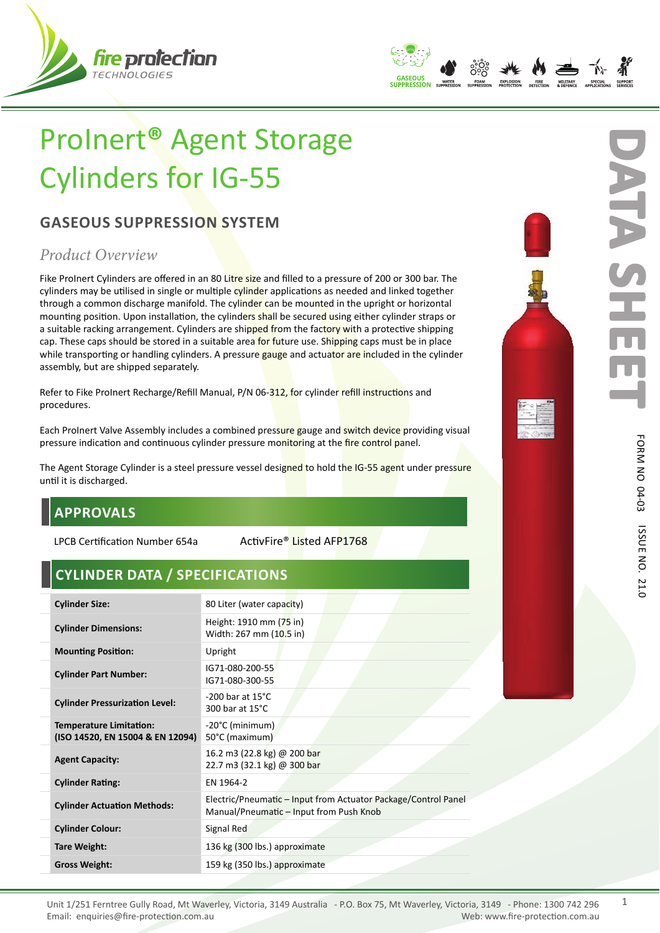



# ProInert**®** Agent Storage Cylinders for IG-55

## **GASEOUS SUPPRESSION SYSTEM**

# *Product Overview*

Fike ProInert Cylinders are offered in an 80 Litre size and filled to a pressure of 200 or 300 bar. The cylinders may be utilised in single or multiple cylinder applications as needed and linked together through a common discharge manifold. The cylinder can be mounted in the upright or horizontal mounting position. Upon installation, the cylinders shall be secured using either cylinder straps or a suitable racking arrangement. Cylinders are shipped from the factory with a protective shipping cap. These caps should be stored in a suitable area for future use. Shipping caps must be in place while transporting or handling cylinders. A pressure gauge and actuator are included in the cylinder assembly, but are shipped separately.

Refer to Fike ProInert Recharge/Refill Manual, P/N 06-312, for cylinder refill instructions and procedures.

Each ProInert Valve Assembly includes a combined pressure gauge and switch device providing visual pressure indication and continuous cylinder pressure monitoring at the fire control panel.

The Agent Storage Cylinder is a steel pressure vessel designed to hold the IG-55 agent under pressure until it is discharged.

# **APPROVALS**

LPCB Certification Number 654a ActivFire® Listed AFP1768

# **CYLINDER DATA / SPECIFICATIONS**

| <b>Cylinder Size:</b>                                              | 80 Liter (water capacity)                                                                                 |
|--------------------------------------------------------------------|-----------------------------------------------------------------------------------------------------------|
| <b>Cylinder Dimensions:</b>                                        | Height: 1910 mm (75 in)<br>Width: 267 mm (10.5 in)                                                        |
| <b>Mounting Position:</b>                                          | Upright                                                                                                   |
| <b>Cylinder Part Number:</b>                                       | IG71-080-200-55<br>IG71-080-300-55                                                                        |
| <b>Cylinder Pressurization Level:</b>                              | $-200$ bar at 15 $^{\circ}$ C<br>300 bar at $15^{\circ}$ C                                                |
| <b>Temperature Limitation:</b><br>(ISO 14520, EN 15004 & EN 12094) | -20°C (minimum)<br>50°C (maximum)                                                                         |
| <b>Agent Capacity:</b>                                             | 16.2 m3 (22.8 kg) @ 200 bar<br>22.7 m3 (32.1 kg) @ 300 bar                                                |
| <b>Cylinder Rating:</b>                                            | EN 1964-2                                                                                                 |
| <b>Cylinder Actuation Methods:</b>                                 | Electric/Pneumatic – Input from Actuator Package/Control Panel<br>Manual/Pneumatic - Input from Push Knob |
| <b>Cylinder Colour:</b>                                            | Signal Red                                                                                                |
| Tare Weight:                                                       | 136 kg (300 lbs.) approximate                                                                             |
| <b>Gross Weight:</b>                                               | 159 kg (350 lbs.) approximate                                                                             |
|                                                                    |                                                                                                           |



**D** 

**ATA SHEET**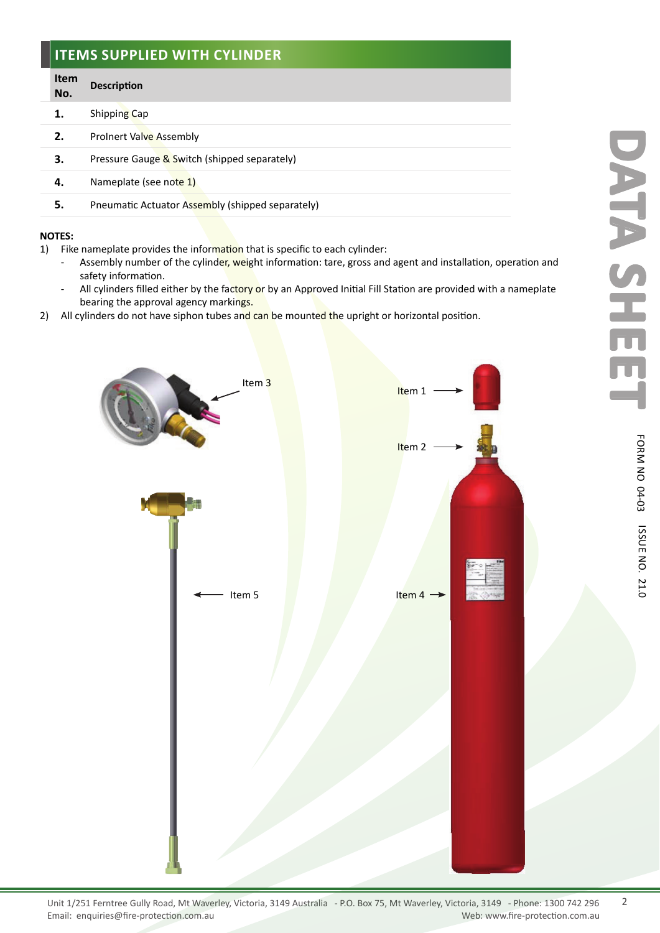#### **ITEMS SUPPLIED WITH CYLINDER**

#### **Item No. Description**

- **1.** Shipping Cap
- **2.** ProInert Valve Assembly
- **3.** Pressure Gauge & Switch (shipped separately)
- **4.** Nameplate (see note 1)
- **5.** Pneumatic Actuator Assembly (shipped separately)

#### **NOTES:**

- 1) Fike nameplate provides the information that is specific to each cylinder:
	- Assembly number of the cylinder, weight information: tare, gross and agent and installation, operation and safety information.
	- All cylinders filled either by the factory or by an Approved Initial Fill Station are provided with a nameplate bearing the approval agency markings.
- 2) All cylinders do not have siphon tubes and can be mounted the upright or horizontal position.



2